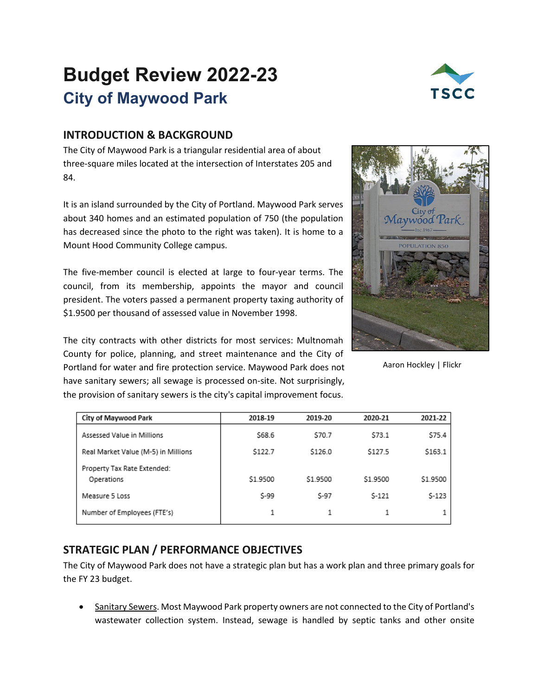# **Budget Review 2022-23 City of Maywood Park**



# **INTRODUCTION & BACKGROUND**

The City of Maywood Park is a triangular residential area of about three-square miles located at the intersection of Interstates 205 and 84.

It is an island surrounded by the City of Portland. Maywood Park serves about 340 homes and an estimated population of 750 (the population has decreased since the photo to the right was taken). It is home to a Mount Hood Community College campus.

The five-member council is elected at large to four-year terms. The council, from its membership, appoints the mayor and council president. The voters passed a permanent property taxing authority of \$1.9500 per thousand of assessed value in November 1998.

The city contracts with other districts for most services: Multnomah County for police, planning, and street maintenance and the City of Portland for water and fire protection service. Maywood Park does not have sanitary sewers; all sewage is processed on-site. Not surprisingly, the provision of sanitary sewers is the city's capital improvement focus.



Aaron Hockley | Flickr

| <b>City of Maywood Park</b>               | 2018-19  | 2019-20  | 2020-21  | 2021-22  |
|-------------------------------------------|----------|----------|----------|----------|
| Assessed Value in Millions                | \$68.6   | \$70.7   | \$73.1   | \$75.4   |
| Real Market Value (M-5) in Millions       | \$122.7  | \$126.0  | \$127.5  | \$163.1  |
| Property Tax Rate Extended:<br>Operations | \$1.9500 | \$1.9500 | \$1.9500 | \$1.9500 |
| Measure 5 Loss                            | \$-99    | $S-97$   | $S-121$  | $$-123$  |
| Number of Employees (FTE's)               |          |          |          |          |

# **STRATEGIC PLAN / PERFORMANCE OBJECTIVES**

The City of Maywood Park does not have a strategic plan but has a work plan and three primary goals for the FY 23 budget.

• Sanitary Sewers. Most Maywood Park property owners are not connected to the City of Portland's wastewater collection system. Instead, sewage is handled by septic tanks and other onsite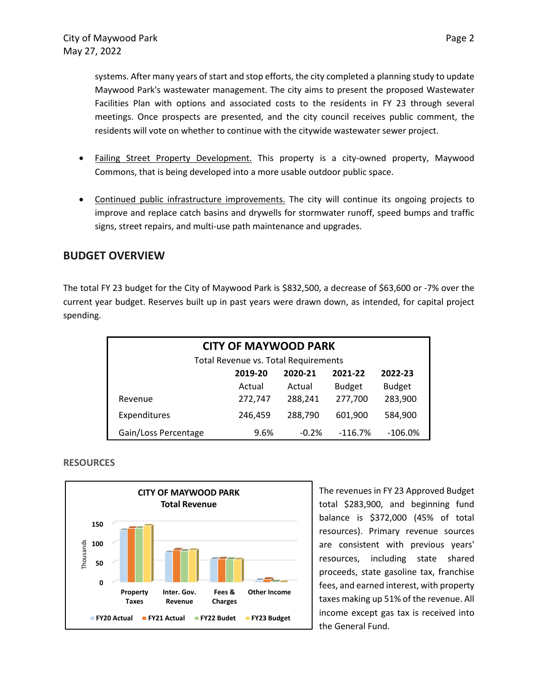systems. After many years of start and stop efforts, the city completed a planning study to update Maywood Park's wastewater management. The city aims to present the proposed Wastewater Facilities Plan with options and associated costs to the residents in FY 23 through several meetings. Once prospects are presented, and the city council receives public comment, the residents will vote on whether to continue with the citywide wastewater sewer project.

- Failing Street Property Development. This property is a city-owned property, Maywood Commons, that is being developed into a more usable outdoor public space.
- Continued public infrastructure improvements. The city will continue its ongoing projects to improve and replace catch basins and drywells for stormwater runoff, speed bumps and traffic signs, street repairs, and multi-use path maintenance and upgrades.

## **BUDGET OVERVIEW**

The total FY 23 budget for the City of Maywood Park is \$832,500, a decrease of \$63,600 or -7% over the current year budget. Reserves built up in past years were drawn down, as intended, for capital project spending.

| <b>CITY OF MAYWOOD PARK</b>              |         |         |               |               |  |
|------------------------------------------|---------|---------|---------------|---------------|--|
| Total Revenue vs. Total Requirements     |         |         |               |               |  |
| 2020-21<br>2021-22<br>2019-20<br>2022-23 |         |         |               |               |  |
|                                          | Actual  | Actual  | <b>Budget</b> | <b>Budget</b> |  |
| Revenue                                  | 272,747 | 288,241 | 277,700       | 283,900       |  |
| Expenditures                             | 246,459 | 288,790 | 601,900       | 584,900       |  |
| Gain/Loss Percentage                     | 9.6%    | $-0.2%$ | $-116.7%$     | $-106.0%$     |  |





The revenues in FY 23 Approved Budget total \$283,900, and beginning fund balance is \$372,000 (45% of total resources). Primary revenue sources are consistent with previous years' resources, including state shared proceeds, state gasoline tax, franchise fees, and earned interest, with property taxes making up 51% of the revenue. All income except gas tax is received into the General Fund.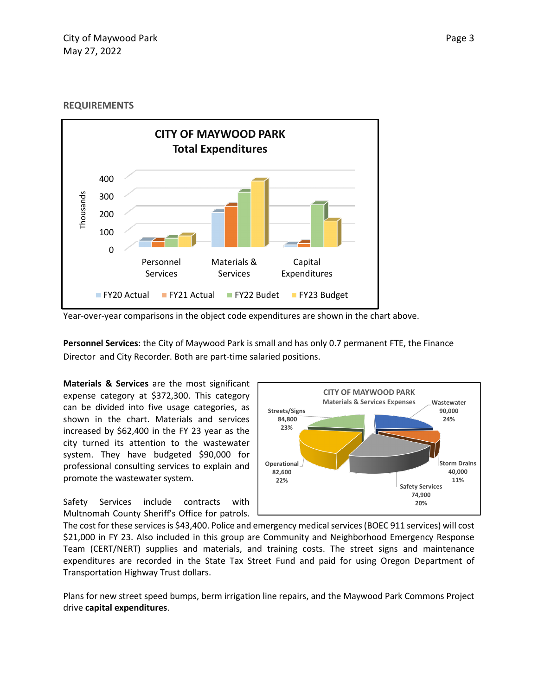#### **REQUIREMENTS**



Year-over-year comparisons in the object code expenditures are shown in the chart above.

**Personnel Services**: the City of Maywood Park is small and has only 0.7 permanent FTE, the Finance Director and City Recorder. Both are part-time salaried positions.

**Materials & Services** are the most significant expense category at \$372,300. This category can be divided into five usage categories, as shown in the chart. Materials and services increased by \$62,400 in the FY 23 year as the city turned its attention to the wastewater system. They have budgeted \$90,000 for professional consulting services to explain and promote the wastewater system.

Safety Services include contracts with Multnomah County Sheriff's Office for patrols.



The cost for these services is \$43,400. Police and emergency medical services (BOEC 911 services) will cost \$21,000 in FY 23. Also included in this group are Community and Neighborhood Emergency Response Team (CERT/NERT) supplies and materials, and training costs. The street signs and maintenance expenditures are recorded in the State Tax Street Fund and paid for using Oregon Department of Transportation Highway Trust dollars.

Plans for new street speed bumps, berm irrigation line repairs, and the Maywood Park Commons Project drive **capital expenditures**.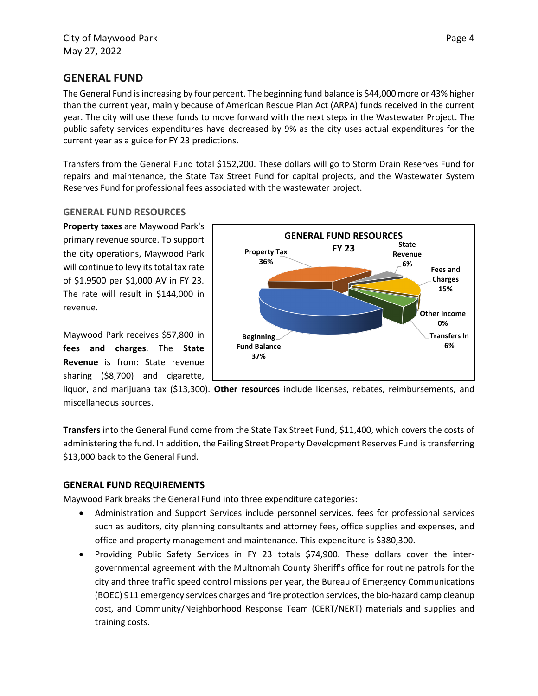## **GENERAL FUND**

The General Fund is increasing by four percent. The beginning fund balance is \$44,000 more or 43% higher than the current year, mainly because of American Rescue Plan Act (ARPA) funds received in the current year. The city will use these funds to move forward with the next steps in the Wastewater Project. The public safety services expenditures have decreased by 9% as the city uses actual expenditures for the current year as a guide for FY 23 predictions.

Transfers from the General Fund total \$152,200. These dollars will go to Storm Drain Reserves Fund for repairs and maintenance, the State Tax Street Fund for capital projects, and the Wastewater System Reserves Fund for professional fees associated with the wastewater project.

#### **GENERAL FUND RESOURCES**

**Property taxes** are Maywood Park's primary revenue source. To support the city operations, Maywood Park will continue to levy its total tax rate of \$1.9500 per \$1,000 AV in FY 23. The rate will result in \$144,000 in revenue.

Maywood Park receives \$57,800 in **fees and charges**. The **State Revenue** is from: State revenue sharing (\$8,700) and cigarette,



liquor, and marijuana tax (\$13,300). **Other resources** include licenses, rebates, reimbursements, and miscellaneous sources.

**Transfers** into the General Fund come from the State Tax Street Fund, \$11,400, which covers the costs of administering the fund. In addition, the Failing Street Property Development Reserves Fund is transferring \$13,000 back to the General Fund.

#### **GENERAL FUND REQUIREMENTS**

Maywood Park breaks the General Fund into three expenditure categories:

- Administration and Support Services include personnel services, fees for professional services such as auditors, city planning consultants and attorney fees, office supplies and expenses, and office and property management and maintenance. This expenditure is \$380,300.
- Providing Public Safety Services in FY 23 totals \$74,900. These dollars cover the intergovernmental agreement with the Multnomah County Sheriff's office for routine patrols for the city and three traffic speed control missions per year, the Bureau of Emergency Communications (BOEC) 911 emergency services charges and fire protection services, the bio-hazard camp cleanup cost, and Community/Neighborhood Response Team (CERT/NERT) materials and supplies and training costs.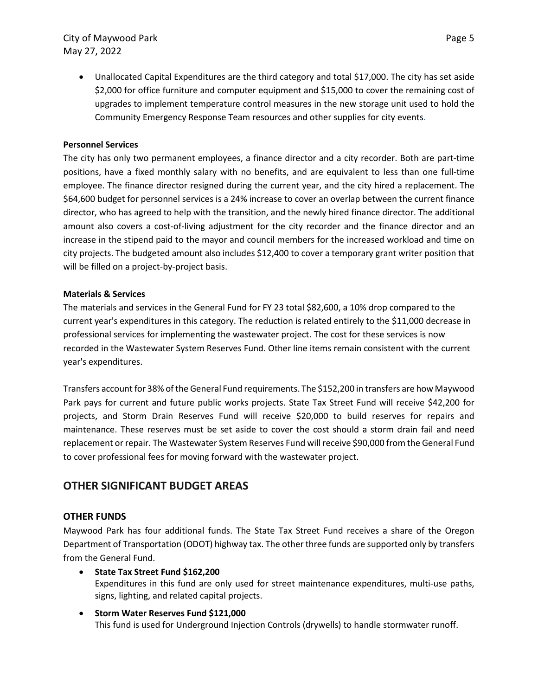### City of Maywood Park **Page 5** May 27, 2022

• Unallocated Capital Expenditures are the third category and total \$17,000. The city has set aside \$2,000 for office furniture and computer equipment and \$15,000 to cover the remaining cost of upgrades to implement temperature control measures in the new storage unit used to hold the Community Emergency Response Team resources and other supplies for city events.

#### **Personnel Services**

The city has only two permanent employees, a finance director and a city recorder. Both are part-time positions, have a fixed monthly salary with no benefits, and are equivalent to less than one full-time employee. The finance director resigned during the current year, and the city hired a replacement. The \$64,600 budget for personnel services is a 24% increase to cover an overlap between the current finance director, who has agreed to help with the transition, and the newly hired finance director. The additional amount also covers a cost-of-living adjustment for the city recorder and the finance director and an increase in the stipend paid to the mayor and council members for the increased workload and time on city projects. The budgeted amount also includes \$12,400 to cover a temporary grant writer position that will be filled on a project-by-project basis.

#### **Materials & Services**

The materials and services in the General Fund for FY 23 total \$82,600, a 10% drop compared to the current year's expenditures in this category. The reduction is related entirely to the \$11,000 decrease in professional services for implementing the wastewater project. The cost for these services is now recorded in the Wastewater System Reserves Fund. Other line items remain consistent with the current year's expenditures.

Transfers account for 38% of the General Fund requirements. The \$152,200 in transfers are how Maywood Park pays for current and future public works projects. State Tax Street Fund will receive \$42,200 for projects, and Storm Drain Reserves Fund will receive \$20,000 to build reserves for repairs and maintenance. These reserves must be set aside to cover the cost should a storm drain fail and need replacement or repair. The Wastewater System Reserves Fund will receive \$90,000 from the General Fund to cover professional fees for moving forward with the wastewater project.

# **OTHER SIGNIFICANT BUDGET AREAS**

#### **OTHER FUNDS**

Maywood Park has four additional funds. The State Tax Street Fund receives a share of the Oregon Department of Transportation (ODOT) highway tax. The other three funds are supported only by transfers from the General Fund.

- **State Tax Street Fund \$162,200** Expenditures in this fund are only used for street maintenance expenditures, multi-use paths, signs, lighting, and related capital projects.
- **Storm Water Reserves Fund \$121,000**  This fund is used for Underground Injection Controls (drywells) to handle stormwater runoff.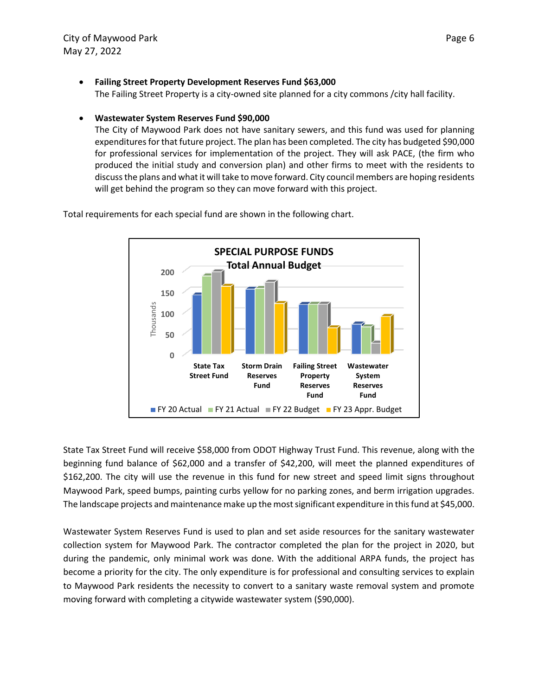• **Failing Street Property Development Reserves Fund \$63,000** 

The Failing Street Property is a city-owned site planned for a city commons /city hall facility.

#### • **Wastewater System Reserves Fund \$90,000**

The City of Maywood Park does not have sanitary sewers, and this fund was used for planning expenditures for that future project. The plan has been completed. The city has budgeted \$90,000 for professional services for implementation of the project. They will ask PACE, (the firm who produced the initial study and conversion plan) and other firms to meet with the residents to discuss the plans and what it will take to move forward. City council members are hoping residents will get behind the program so they can move forward with this project.

**SPECIAL PURPOSE FUNDS Total Annual Budget 200 150** Thousands Thousands **100 50 0 State Tax Storm Drain Failing Street Wastewater Street Fund Reserves Property System Fund Reserves Reserves Fund Fund FY 20 Actual FY 21 Actual FY 22 Budget FY 23 Appr. Budget** 

Total requirements for each special fund are shown in the following chart.

State Tax Street Fund will receive \$58,000 from ODOT Highway Trust Fund. This revenue, along with the beginning fund balance of \$62,000 and a transfer of \$42,200, will meet the planned expenditures of \$162,200. The city will use the revenue in this fund for new street and speed limit signs throughout Maywood Park, speed bumps, painting curbs yellow for no parking zones, and berm irrigation upgrades. The landscape projects and maintenance make up the most significant expenditure in this fund at \$45,000.

Wastewater System Reserves Fund is used to plan and set aside resources for the sanitary wastewater collection system for Maywood Park. The contractor completed the plan for the project in 2020, but during the pandemic, only minimal work was done. With the additional ARPA funds, the project has become a priority for the city. The only expenditure is for professional and consulting services to explain to Maywood Park residents the necessity to convert to a sanitary waste removal system and promote moving forward with completing a citywide wastewater system (\$90,000).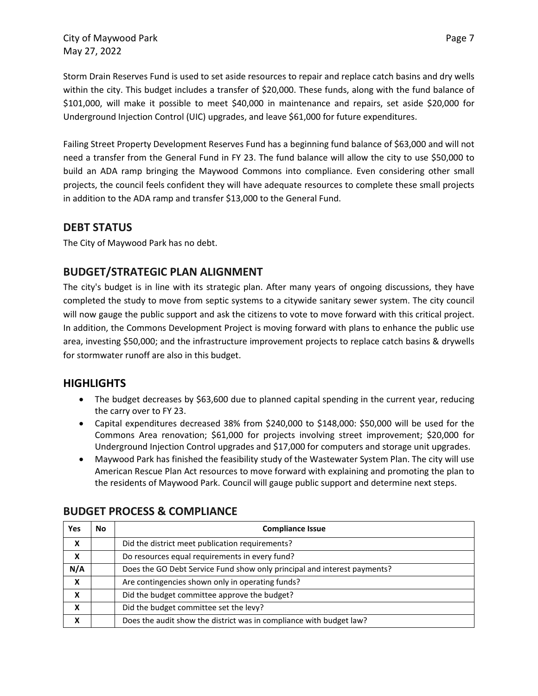City of Maywood Park **Page 7** and Page 7 May 27, 2022

Storm Drain Reserves Fund is used to set aside resources to repair and replace catch basins and dry wells within the city. This budget includes a transfer of \$20,000. These funds, along with the fund balance of \$101,000, will make it possible to meet \$40,000 in maintenance and repairs, set aside \$20,000 for Underground Injection Control (UIC) upgrades, and leave \$61,000 for future expenditures.

Failing Street Property Development Reserves Fund has a beginning fund balance of \$63,000 and will not need a transfer from the General Fund in FY 23. The fund balance will allow the city to use \$50,000 to build an ADA ramp bringing the Maywood Commons into compliance. Even considering other small projects, the council feels confident they will have adequate resources to complete these small projects in addition to the ADA ramp and transfer \$13,000 to the General Fund.

# **DEBT STATUS**

The City of Maywood Park has no debt.

# **BUDGET/STRATEGIC PLAN ALIGNMENT**

The city's budget is in line with its strategic plan. After many years of ongoing discussions, they have completed the study to move from septic systems to a citywide sanitary sewer system. The city council will now gauge the public support and ask the citizens to vote to move forward with this critical project. In addition, the Commons Development Project is moving forward with plans to enhance the public use area, investing \$50,000; and the infrastructure improvement projects to replace catch basins & drywells for stormwater runoff are also in this budget.

# **HIGHLIGHTS**

- The budget decreases by \$63,600 due to planned capital spending in the current year, reducing the carry over to FY 23.
- Capital expenditures decreased 38% from \$240,000 to \$148,000: \$50,000 will be used for the Commons Area renovation; \$61,000 for projects involving street improvement; \$20,000 for Underground Injection Control upgrades and \$17,000 for computers and storage unit upgrades.
- Maywood Park has finished the feasibility study of the Wastewater System Plan. The city will use American Rescue Plan Act resources to move forward with explaining and promoting the plan to the residents of Maywood Park. Council will gauge public support and determine next steps.

| <b>Yes</b>       | No | <b>Compliance Issue</b>                                                  |
|------------------|----|--------------------------------------------------------------------------|
| X                |    | Did the district meet publication requirements?                          |
| $\boldsymbol{x}$ |    | Do resources equal requirements in every fund?                           |
| N/A              |    | Does the GO Debt Service Fund show only principal and interest payments? |
| X                |    | Are contingencies shown only in operating funds?                         |
| X                |    | Did the budget committee approve the budget?                             |
| X                |    | Did the budget committee set the levy?                                   |
| X                |    | Does the audit show the district was in compliance with budget law?      |

# **BUDGET PROCESS & COMPLIANCE**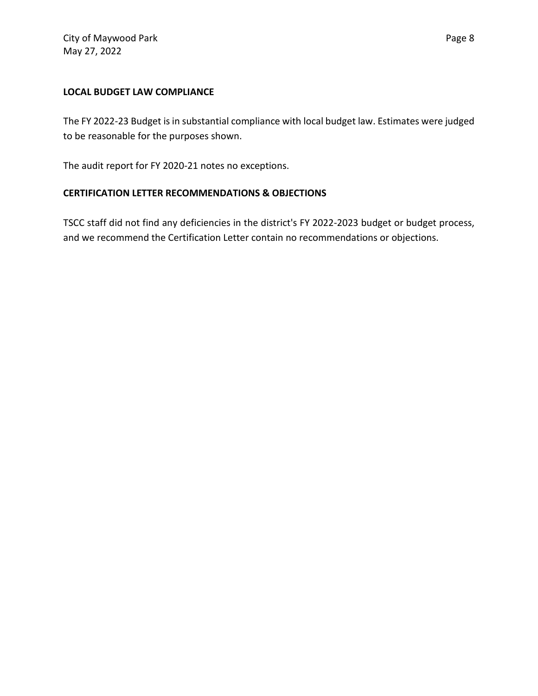The FY 2022-23 Budget is in substantial compliance with local budget law. Estimates were judged to be reasonable for the purposes shown.

The audit report for FY 2020-21 notes no exceptions.

### **CERTIFICATION LETTER RECOMMENDATIONS & OBJECTIONS**

TSCC staff did not find any deficiencies in the district's FY 2022-2023 budget or budget process, and we recommend the Certification Letter contain no recommendations or objections.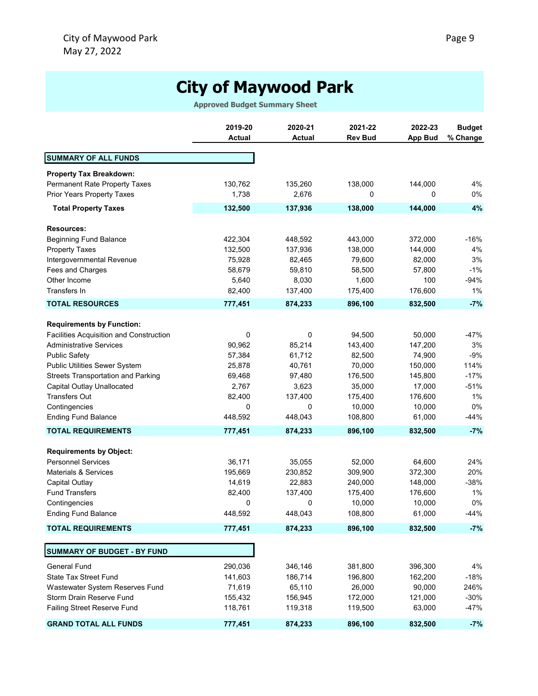# **City of Maywood Park**

**Approved Budget Summary Sheet**

|                                                | 2019-20       | 2020-21       | 2021-22        | 2022-23        | <b>Budget</b> |
|------------------------------------------------|---------------|---------------|----------------|----------------|---------------|
|                                                | <b>Actual</b> | <b>Actual</b> | <b>Rev Bud</b> | <b>App Bud</b> | % Change      |
|                                                |               |               |                |                |               |
| <b>SUMMARY OF ALL FUNDS</b>                    |               |               |                |                |               |
| <b>Property Tax Breakdown:</b>                 |               |               |                |                |               |
| Permanent Rate Property Taxes                  | 130,762       | 135,260       | 138,000        | 144,000        | 4%            |
| Prior Years Property Taxes                     | 1,738         | 2,676         | 0              | 0              | 0%            |
| <b>Total Property Taxes</b>                    | 132,500       | 137,936       | 138,000        | 144,000        | 4%            |
| <b>Resources:</b>                              |               |               |                |                |               |
| <b>Beginning Fund Balance</b>                  | 422,304       | 448,592       | 443,000        | 372,000        | -16%          |
| <b>Property Taxes</b>                          | 132,500       | 137,936       | 138,000        | 144,000        | 4%            |
| Intergovernmental Revenue                      | 75,928        | 82,465        | 79,600         | 82,000         | 3%            |
| Fees and Charges                               | 58,679        | 59,810        | 58,500         | 57,800         | $-1%$         |
| Other Income                                   | 5,640         | 8,030         | 1,600          | 100            | $-94%$        |
| Transfers In                                   | 82,400        | 137,400       | 175,400        | 176,600        | $1\%$         |
| <b>TOTAL RESOURCES</b>                         | 777,451       | 874,233       | 896,100        | 832,500        | $-7%$         |
|                                                |               |               |                |                |               |
| <b>Requirements by Function:</b>               |               |               |                |                | -47%          |
| <b>Facilities Acquisition and Construction</b> | 0             | 0             | 94,500         | 50,000         |               |
| <b>Administrative Services</b>                 | 90,962        | 85,214        | 143,400        | 147,200        | 3%            |
| <b>Public Safety</b>                           | 57,384        | 61,712        | 82,500         | 74,900         | $-9%$         |
| Public Utilities Sewer System                  | 25,878        | 40,761        | 70,000         | 150,000        | 114%          |
| <b>Streets Transportation and Parking</b>      | 69,468        | 97,480        | 176,500        | 145,800        | $-17%$        |
| Capital Outlay Unallocated                     | 2,767         | 3,623         | 35,000         | 17,000         | $-51%$        |
| <b>Transfers Out</b>                           | 82,400        | 137,400       | 175,400        | 176,600        | $1\%$         |
| Contingencies                                  | 0             | 0             | 10,000         | 10,000         | 0%            |
| <b>Ending Fund Balance</b>                     | 448,592       | 448,043       | 108,800        | 61,000         | -44%          |
| <b>TOTAL REQUIREMENTS</b>                      | 777,451       | 874,233       | 896,100        | 832,500        | $-7%$         |
| <b>Requirements by Object:</b>                 |               |               |                |                |               |
| <b>Personnel Services</b>                      | 36,171        | 35,055        | 52,000         | 64,600         | 24%           |
| <b>Materials &amp; Services</b>                | 195,669       | 230,852       | 309,900        | 372,300        | 20%           |
| <b>Capital Outlay</b>                          | 14,619        | 22,883        | 240,000        | 148,000        | $-38%$        |
| <b>Fund Transfers</b>                          | 82,400        | 137,400       | 175,400        | 176,600        | $1\%$         |
| Contingencies                                  | 0             | 0             | 10,000         | 10,000         | 0%            |
| <b>Ending Fund Balance</b>                     | 448,592       | 448,043       | 108,800        | 61,000         | $-44%$        |
| <b>TOTAL REQUIREMENTS</b>                      | 777,451       | 874,233       | 896,100        | 832,500        | $-7%$         |
| SUMMARY OF BUDGET - BY FUND                    |               |               |                |                |               |
| <b>General Fund</b>                            | 290,036       | 346,146       | 381,800        | 396,300        | 4%            |
| <b>State Tax Street Fund</b>                   | 141,603       | 186,714       | 196,800        | 162,200        | $-18%$        |
| Wastewater System Reserves Fund                | 71,619        | 65,110        | 26,000         | 90,000         | 246%          |
| Storm Drain Reserve Fund                       | 155,432       | 156,945       | 172,000        | 121,000        | $-30%$        |
| Failing Street Reserve Fund                    | 118,761       | 119,318       | 119,500        | 63,000         | $-47%$        |
| <b>GRAND TOTAL ALL FUNDS</b>                   | 777,451       | 874,233       | 896,100        | 832,500        | $-7%$         |